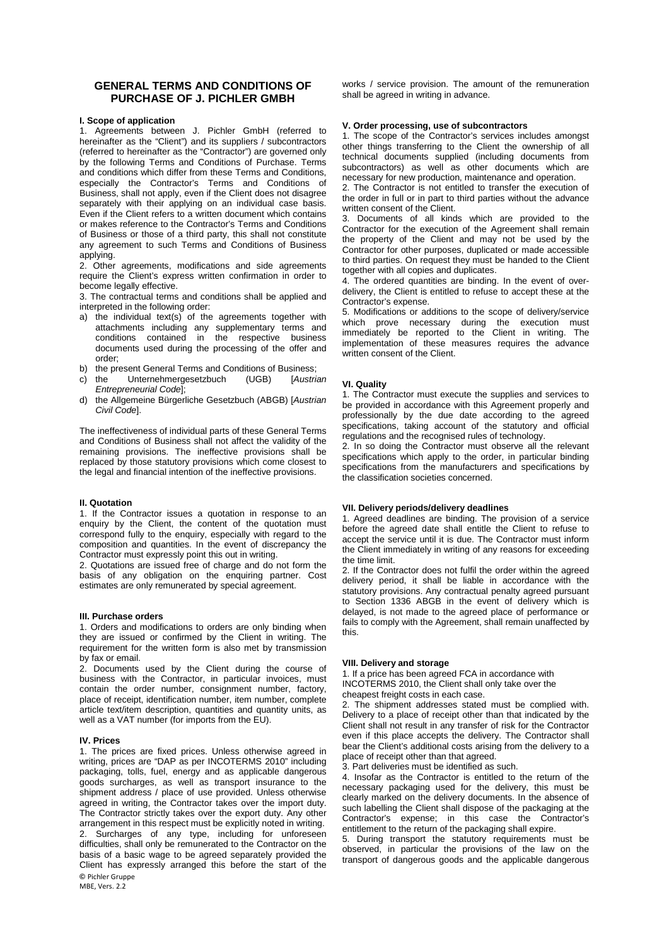# **GENERAL TERMS AND CONDITIONS OF PURCHASE OF J. PICHLER GMBH**

## **I. Scope of application**

1. Agreements between J. Pichler GmbH (referred to hereinafter as the "Client") and its suppliers / subcontractors (referred to hereinafter as the "Contractor") are governed only by the following Terms and Conditions of Purchase. Terms and conditions which differ from these Terms and Conditions, especially the Contractor's Terms and Conditions of Business, shall not apply, even if the Client does not disagree separately with their applying on an individual case basis. Even if the Client refers to a written document which contains or makes reference to the Contractor's Terms and Conditions of Business or those of a third party, this shall not constitute any agreement to such Terms and Conditions of Business applying.

2. Other agreements, modifications and side agreements require the Client's express written confirmation in order to become legally effective.

3. The contractual terms and conditions shall be applied and interpreted in the following order:

- a) the individual text(s) of the agreements together with attachments including any supplementary terms and conditions contained in the respective business documents used during the processing of the offer and order;
- b) the present General Terms and Conditions of Business;<br>c) the Unternehmergesetzbuch (UGB) [Austrian]
- c) the Unternehmergesetzbuch *Entrepreneurial Code*];
- d) the Allgemeine Bürgerliche Gesetzbuch (ABGB) [*Austrian Civil Code*].

The ineffectiveness of individual parts of these General Terms and Conditions of Business shall not affect the validity of the remaining provisions. The ineffective provisions shall be replaced by those statutory provisions which come closest to the legal and financial intention of the ineffective provisions.

#### **II. Quotation**

1. If the Contractor issues a quotation in response to an enquiry by the Client, the content of the quotation must correspond fully to the enquiry, especially with regard to the composition and quantities. In the event of discrepancy the Contractor must expressly point this out in writing.

2. Quotations are issued free of charge and do not form the basis of any obligation on the enquiring partner. Cost estimates are only remunerated by special agreement.

#### **III. Purchase orders**

1. Orders and modifications to orders are only binding when they are issued or confirmed by the Client in writing. The requirement for the written form is also met by transmission by fax or email.

2. Documents used by the Client during the course of business with the Contractor, in particular invoices, must contain the order number, consignment number, factory, place of receipt, identification number, item number, complete article text/item description, quantities and quantity units, as well as a VAT number (for imports from the EU).

#### **IV. Prices**

**©** Pichler Gruppe 1. The prices are fixed prices. Unless otherwise agreed in writing, prices are "DAP as per INCOTERMS 2010" including packaging, tolls, fuel, energy and as applicable dangerous goods surcharges, as well as transport insurance to the shipment address / place of use provided. Unless otherwise agreed in writing, the Contractor takes over the import duty. The Contractor strictly takes over the export duty. Any other arrangement in this respect must be explicitly noted in writing. 2. Surcharges of any type, including for unforeseen difficulties, shall only be remunerated to the Contractor on the basis of a basic wage to be agreed separately provided the Client has expressly arranged this before the start of the

MBF, Vers. 2.2

works / service provision. The amount of the remuneration shall be agreed in writing in advance.

#### **V. Order processing, use of subcontractors**

1. The scope of the Contractor's services includes amongst other things transferring to the Client the ownership of all technical documents supplied (including documents from subcontractors) as well as other documents which are necessary for new production, maintenance and operation.

2. The Contractor is not entitled to transfer the execution of the order in full or in part to third parties without the advance written consent of the Client.

3. Documents of all kinds which are provided to the Contractor for the execution of the Agreement shall remain the property of the Client and may not be used by the Contractor for other purposes, duplicated or made accessible to third parties. On request they must be handed to the Client together with all copies and duplicates.

4. The ordered quantities are binding. In the event of overdelivery, the Client is entitled to refuse to accept these at the Contractor's expense.

5. Modifications or additions to the scope of delivery/service which prove necessary during the execution must immediately be reported to the Client in writing. The implementation of these measures requires the advance written consent of the Client.

## **VI. Quality**

1. The Contractor must execute the supplies and services to be provided in accordance with this Agreement properly and professionally by the due date according to the agreed specifications, taking account of the statutory and official regulations and the recognised rules of technology.

2. In so doing the Contractor must observe all the relevant specifications which apply to the order, in particular binding specifications from the manufacturers and specifications by the classification societies concerned.

## **VII. Delivery periods/delivery deadlines**

1. Agreed deadlines are binding. The provision of a service before the agreed date shall entitle the Client to refuse to accept the service until it is due. The Contractor must inform the Client immediately in writing of any reasons for exceeding the time limit.

2. If the Contractor does not fulfil the order within the agreed delivery period, it shall be liable in accordance with the statutory provisions. Any contractual penalty agreed pursuant to Section 1336 ABGB in the event of delivery which is delayed, is not made to the agreed place of performance or fails to comply with the Agreement, shall remain unaffected by this.

## **VIII. Delivery and storage**

1. If a price has been agreed FCA in accordance with INCOTERMS 2010, the Client shall only take over the cheapest freight costs in each case.

2. The shipment addresses stated must be complied with. Delivery to a place of receipt other than that indicated by the Client shall not result in any transfer of risk for the Contractor even if this place accepts the delivery. The Contractor shall bear the Client's additional costs arising from the delivery to a place of receipt other than that agreed.

3. Part deliveries must be identified as such.

4. Insofar as the Contractor is entitled to the return of the necessary packaging used for the delivery, this must be clearly marked on the delivery documents. In the absence of such labelling the Client shall dispose of the packaging at the Contractor's expense; in this case the Contractor's entitlement to the return of the packaging shall expire.

5. During transport the statutory requirements must be observed, in particular the provisions of the law on the transport of dangerous goods and the applicable dangerous